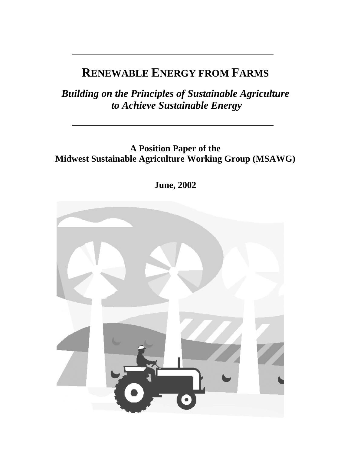# **RENEWABLE ENERGY FROM FARMS**

*Building on the Principles of Sustainable Agriculture to Achieve Sustainable Energy* 

**A Position Paper of the Midwest Sustainable Agriculture Working Group (MSAWG)** 

**June, 2002** 

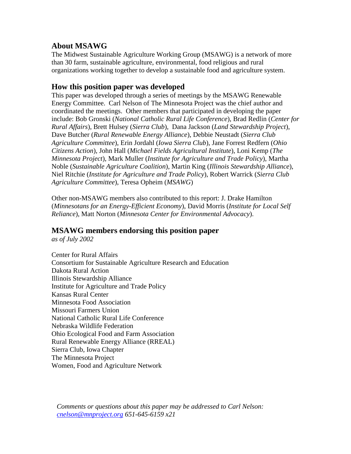### **About MSAWG**

The Midwest Sustainable Agriculture Working Group (MSAWG) is a network of more than 30 farm, sustainable agriculture, environmental, food religious and rural organizations working together to develop a sustainable food and agriculture system.

### **How this position paper was developed**

This paper was developed through a series of meetings by the MSAWG Renewable Energy Committee. Carl Nelson of The Minnesota Project was the chief author and coordinated the meetings. Other members that participated in developing the paper include: Bob Gronski (*National Catholic Rural Life Conference*), Brad Redlin (*Center for Rural Affairs*), Brett Hulsey (*Sierra Club*), Dana Jackson (*Land Stewardship Project*), Dave Butcher (*Rural Renewable Energy Alliance*), Debbie Neustadt (*Sierra Club Agriculture Committee*), Erin Jordahl (*Iowa Sierra Club*), Jane Forrest Redfern (*Ohio Citizens Action*), John Hall (*Michael Fields Agricultural Institute*), Loni Kemp (*The Minnesota Project*), Mark Muller (*Institute for Agriculture and Trade Policy*), Martha Noble (*Sustainable Agriculture Coalition*), Martin King (*Illinois Stewardship Alliance*), Niel Ritchie (*Institute for Agriculture and Trade Policy*), Robert Warrick (*Sierra Club Agriculture Committee*), Teresa Opheim (*MSAWG*)

Other non-MSAWG members also contributed to this report: J. Drake Hamilton (*Minnesotans for an Energy-Efficient Economy*), David Morris (*Institute for Local Self Reliance*), Matt Norton (*Minnesota Center for Environmental Advocacy*).

## **MSAWG members endorsing this position paper**

*as of July 2002* 

Center for Rural Affairs Consortium for Sustainable Agriculture Research and Education Dakota Rural Action Illinois Stewardship Alliance Institute for Agriculture and Trade Policy Kansas Rural Center Minnesota Food Association Missouri Farmers Union National Catholic Rural Life Conference Nebraska Wildlife Federation Ohio Ecological Food and Farm Association Rural Renewable Energy Alliance (RREAL) Sierra Club, Iowa Chapter The Minnesota Project Women, Food and Agriculture Network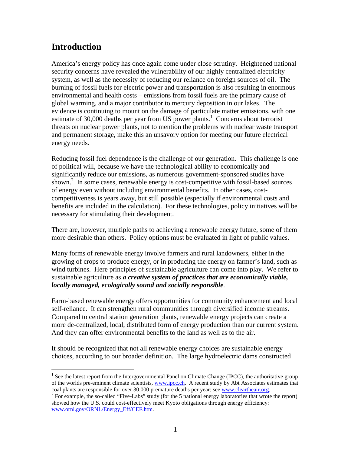# **Introduction**

 $\overline{a}$ 

America's energy policy has once again come under close scrutiny. Heightened national security concerns have revealed the vulnerability of our highly centralized electricity system, as well as the necessity of reducing our reliance on foreign sources of oil. The burning of fossil fuels for electric power and transportation is also resulting in enormous environmental and health costs – emissions from fossil fuels are the primary cause of global warming, and a major contributor to mercury deposition in our lakes. The evidence is continuing to mount on the damage of particulate matter emissions, with one estimate of 30,000 deaths per year from US power plants.<sup>1</sup> Concerns about terrorist threats on nuclear power plants, not to mention the problems with nuclear waste transport and permanent storage, make this an unsavory option for meeting our future electrical energy needs.

Reducing fossil fuel dependence is the challenge of our generation. This challenge is one of political will, because we have the technological ability to economically and significantly reduce our emissions, as numerous government-sponsored studies have shown.<sup>2</sup> In some cases, renewable energy is cost-competitive with fossil-based sources of energy even without including environmental benefits. In other cases, costcompetitiveness is years away, but still possible (especially if environmental costs and benefits are included in the calculation). For these technologies, policy initiatives will be necessary for stimulating their development.

There are, however, multiple paths to achieving a renewable energy future, some of them more desirable than others. Policy options must be evaluated in light of public values.

Many forms of renewable energy involve farmers and rural landowners, either in the growing of crops to produce energy, or in producing the energy on farmer's land, such as wind turbines. Here principles of sustainable agriculture can come into play. We refer to sustainable agriculture as *a creative system of practices that are economically viable, locally managed, ecologically sound and socially responsible*.

Farm-based renewable energy offers opportunities for community enhancement and local self-reliance. It can strengthen rural communities through diversified income streams. Compared to central station generation plants, renewable energy projects can create a more de-centralized, local, distributed form of energy production than our current system. And they can offer environmental benefits to the land as well as to the air.

It should be recognized that not all renewable energy choices are sustainable energy choices, according to our broader definition. The large hydroelectric dams constructed

<sup>&</sup>lt;sup>1</sup> See the latest report from the Intergovernmental Panel on Climate Change (IPCC), the authoritative group of the worlds pre-eminent climate scientists, www.ipcc.ch. A recent study by Abt Associates estimates that coal plants are responsible for over 30,000 premature deaths per year; see www.cleartheair.org.

<sup>&</sup>lt;sup>2</sup> For example, the so-called "Five-Labs" study (for the 5 national energy laboratories that wrote the report) showed how the U.S. could cost-effectively meet Kyoto obligations through energy efficiency: www.ornl.gov/ORNL/Energy\_Eff/CEF.htm.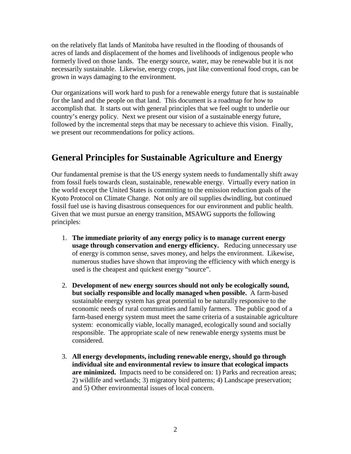on the relatively flat lands of Manitoba have resulted in the flooding of thousands of acres of lands and displacement of the homes and livelihoods of indigenous people who formerly lived on those lands. The energy source, water, may be renewable but it is not necessarily sustainable. Likewise, energy crops, just like conventional food crops, can be grown in ways damaging to the environment.

Our organizations will work hard to push for a renewable energy future that is sustainable for the land and the people on that land. This document is a roadmap for how to accomplish that. It starts out with general principles that we feel ought to underlie our country's energy policy. Next we present our vision of a sustainable energy future, followed by the incremental steps that may be necessary to achieve this vision. Finally, we present our recommendations for policy actions.

# **General Principles for Sustainable Agriculture and Energy**

Our fundamental premise is that the US energy system needs to fundamentally shift away from fossil fuels towards clean, sustainable, renewable energy. Virtually every nation in the world except the United States is committing to the emission reduction goals of the Kyoto Protocol on Climate Change. Not only are oil supplies dwindling, but continued fossil fuel use is having disastrous consequences for our environment and public health. Given that we must pursue an energy transition, MSAWG supports the following principles:

- 1. **The immediate priority of any energy policy is to manage current energy usage through conservation and energy efficiency.** Reducing unnecessary use of energy is common sense, saves money, and helps the environment. Likewise, numerous studies have shown that improving the efficiency with which energy is used is the cheapest and quickest energy "source".
- 2. **Development of new energy sources should not only be ecologically sound, but socially responsible and locally managed when possible.** A farm-based sustainable energy system has great potential to be naturally responsive to the economic needs of rural communities and family farmers. The public good of a farm-based energy system must meet the same criteria of a sustainable agriculture system: economically viable, locally managed, ecologically sound and socially responsible. The appropriate scale of new renewable energy systems must be considered.
- 3. **All energy developments, including renewable energy, should go through individual site and environmental review to insure that ecological impacts are minimized.** Impacts need to be considered on: 1) Parks and recreation areas; 2) wildlife and wetlands; 3) migratory bird patterns; 4) Landscape preservation; and 5) Other environmental issues of local concern.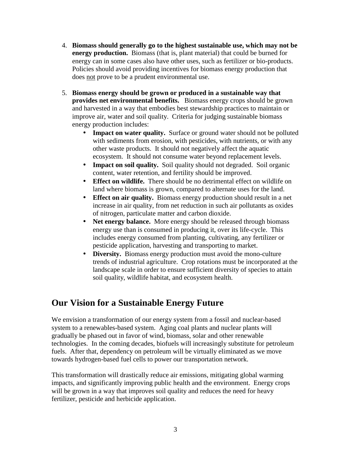- 4. **Biomass should generally go to the highest sustainable use, which may not be energy production.** Biomass (that is, plant material) that could be burned for energy can in some cases also have other uses, such as fertilizer or bio-products. Policies should avoid providing incentives for biomass energy production that does not prove to be a prudent environmental use.
- 5. **Biomass energy should be grown or produced in a sustainable way that provides net environmental benefits.** Biomass energy crops should be grown and harvested in a way that embodies best stewardship practices to maintain or improve air, water and soil quality. Criteria for judging sustainable biomass energy production includes:
	- **Impact on water quality.** Surface or ground water should not be polluted with sediments from erosion, with pesticides, with nutrients, or with any other waste products. It should not negatively affect the aquatic ecosystem. It should not consume water beyond replacement levels.
	- **Impact on soil quality.** Soil quality should not degraded. Soil organic content, water retention, and fertility should be improved.
	- **Effect on wildlife.** There should be no detrimental effect on wildlife on land where biomass is grown, compared to alternate uses for the land.
	- **Effect on air quality.** Biomass energy production should result in a net increase in air quality, from net reduction in such air pollutants as oxides of nitrogen, particulate matter and carbon dioxide.
	- **Net energy balance.** More energy should be released through biomass energy use than is consumed in producing it, over its life-cycle. This includes energy consumed from planting, cultivating, any fertilizer or pesticide application, harvesting and transporting to market.
	- **Diversity.** Biomass energy production must avoid the mono-culture trends of industrial agriculture. Crop rotations must be incorporated at the landscape scale in order to ensure sufficient diversity of species to attain soil quality, wildlife habitat, and ecosystem health.

# **Our Vision for a Sustainable Energy Future**

We envision a transformation of our energy system from a fossil and nuclear-based system to a renewables-based system. Aging coal plants and nuclear plants will gradually be phased out in favor of wind, biomass, solar and other renewable technologies. In the coming decades, biofuels will increasingly substitute for petroleum fuels. After that, dependency on petroleum will be virtually eliminated as we move towards hydrogen-based fuel cells to power our transportation network.

This transformation will drastically reduce air emissions, mitigating global warming impacts, and significantly improving public health and the environment. Energy crops will be grown in a way that improves soil quality and reduces the need for heavy fertilizer, pesticide and herbicide application.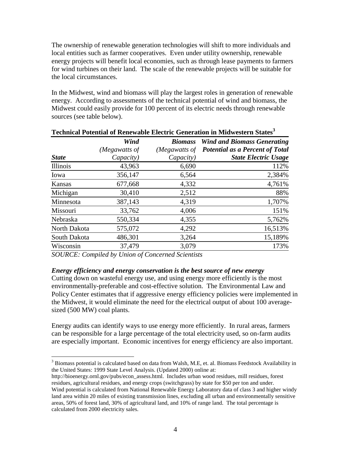The ownership of renewable generation technologies will shift to more individuals and local entities such as farmer cooperatives. Even under utility ownership, renewable energy projects will benefit local economies, such as through lease payments to farmers for wind turbines on their land. The scale of the renewable projects will be suitable for the local circumstances.

In the Midwest, wind and biomass will play the largest roles in generation of renewable energy. According to assessments of the technical potential of wind and biomass, the Midwest could easily provide for 100 percent of its electric needs through renewable sources (see table below).

|              | Wind<br>(Megawatts of | <b>Biomass</b><br>(Megawatts of | <b>Wind and Biomass Generating</b><br><b>Potential as a Percent of Total</b> |
|--------------|-----------------------|---------------------------------|------------------------------------------------------------------------------|
|              |                       |                                 |                                                                              |
| Illinois     | 43,963                | 6,690                           | 112%                                                                         |
| Iowa         | 356,147               | 6,564                           | 2,384%                                                                       |
| Kansas       | 677,668               | 4,332                           | 4,761%                                                                       |
| Michigan     | 30,410                | 2,512                           | 88%                                                                          |
| Minnesota    | 387,143               | 4,319                           | 1,707%                                                                       |
| Missouri     | 33,762                | 4,006                           | 151%                                                                         |
| Nebraska     | 550,334               | 4,355                           | 5,762%                                                                       |
| North Dakota | 575,072               | 4,292                           | 16,513%                                                                      |
| South Dakota | 486,301               | 3,264                           | 15,189%                                                                      |
| Wisconsin    | 37,479                | 3,079                           | 173%                                                                         |

#### **Technical Potential of Renewable Electric Generation in Midwestern States<sup>3</sup>**

*SOURCE: Compiled by Union of Concerned Scientists* 

 $\overline{a}$ 

### *Energy efficiency and energy conservation is the best source of new energy*

Cutting down on wasteful energy use, and using energy more efficiently is the most environmentally-preferable and cost-effective solution. The Environmental Law and Policy Center estimates that if aggressive energy efficiency policies were implemented in the Midwest, it would eliminate the need for the electrical output of about 100 averagesized (500 MW) coal plants.

Energy audits can identify ways to use energy more efficiently. In rural areas, farmers can be responsible for a large percentage of the total electricity used, so on-farm audits are especially important. Economic incentives for energy efficiency are also important.

http://bioenergy.ornl.gov/pubs/econ\_assess.html. Includes urban wood residues, mill residues, forest residues, agricultural residues, and energy crops (switchgrass) by state for \$50 per ton and under.

 $3$  Biomass potential is calculated based on data from Walsh, M.E, et. al. Biomass Feedstock Availability in the United States: 1999 State Level Analysis. (Updated 2000) online at:

Wind potential is calculated from National Renewable Energy Laboratory data of class 3 and higher windy land area within 20 miles of existing transmission lines, excluding all urban and environmentally sensitive areas, 50% of forest land, 30% of agricultural land, and 10% of range land. The total percentage is calculated from 2000 electricity sales.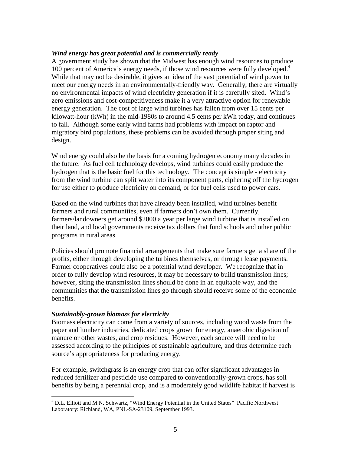#### *Wind energy has great potential and is commercially ready*

A government study has shown that the Midwest has enough wind resources to produce 100 percent of America's energy needs, if those wind resources were fully developed.<sup>4</sup> While that may not be desirable, it gives an idea of the vast potential of wind power to meet our energy needs in an environmentally-friendly way. Generally, there are virtually no environmental impacts of wind electricity generation if it is carefully sited. Wind's zero emissions and cost-competitiveness make it a very attractive option for renewable energy generation. The cost of large wind turbines has fallen from over 15 cents per kilowatt-hour (kWh) in the mid-1980s to around 4.5 cents per kWh today, and continues to fall. Although some early wind farms had problems with impact on raptor and migratory bird populations, these problems can be avoided through proper siting and design.

Wind energy could also be the basis for a coming hydrogen economy many decades in the future. As fuel cell technology develops, wind turbines could easily produce the hydrogen that is the basic fuel for this technology. The concept is simple - electricity from the wind turbine can split water into its component parts, ciphering off the hydrogen for use either to produce electricity on demand, or for fuel cells used to power cars.

Based on the wind turbines that have already been installed, wind turbines benefit farmers and rural communities, even if farmers don't own them. Currently, farmers/landowners get around \$2000 a year per large wind turbine that is installed on their land, and local governments receive tax dollars that fund schools and other public programs in rural areas.

Policies should promote financial arrangements that make sure farmers get a share of the profits, either through developing the turbines themselves, or through lease payments. Farmer cooperatives could also be a potential wind developer. We recognize that in order to fully develop wind resources, it may be necessary to build transmission lines; however, siting the transmission lines should be done in an equitable way, and the communities that the transmission lines go through should receive some of the economic benefits.

#### *Sustainably-grown biomass for electricity*

Biomass electricity can come from a variety of sources, including wood waste from the paper and lumber industries, dedicated crops grown for energy, anaerobic digestion of manure or other wastes, and crop residues. However, each source will need to be assessed according to the principles of sustainable agriculture, and thus determine each source's appropriateness for producing energy.

For example, switchgrass is an energy crop that can offer significant advantages in reduced fertilizer and pesticide use compared to conventionally-grown crops, has soil benefits by being a perennial crop, and is a moderately good wildlife habitat if harvest is

 4 D.L. Elliott and M.N. Schwartz, "Wind Energy Potential in the United States" Pacific Northwest Laboratory: Richland, WA, PNL-SA-23109, September 1993.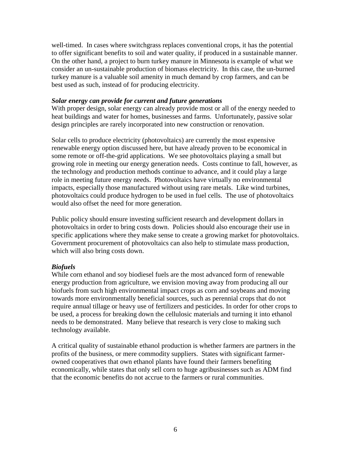well-timed. In cases where switchgrass replaces conventional crops, it has the potential to offer significant benefits to soil and water quality, if produced in a sustainable manner. On the other hand, a project to burn turkey manure in Minnesota is example of what we consider an un-sustainable production of biomass electricity. In this case, the un-burned turkey manure is a valuable soil amenity in much demand by crop farmers, and can be best used as such, instead of for producing electricity.

#### *Solar energy can provide for current and future generations*

With proper design, solar energy can already provide most or all of the energy needed to heat buildings and water for homes, businesses and farms. Unfortunately, passive solar design principles are rarely incorporated into new construction or renovation.

Solar cells to produce electricity (photovoltaics) are currently the most expensive renewable energy option discussed here, but have already proven to be economical in some remote or off-the-grid applications. We see photovoltaics playing a small but growing role in meeting our energy generation needs. Costs continue to fall, however, as the technology and production methods continue to advance, and it could play a large role in meeting future energy needs. Photovoltaics have virtually no environmental impacts, especially those manufactured without using rare metals. Like wind turbines, photovoltaics could produce hydrogen to be used in fuel cells. The use of photovoltaics would also offset the need for more generation.

Public policy should ensure investing sufficient research and development dollars in photovoltaics in order to bring costs down. Policies should also encourage their use in specific applications where they make sense to create a growing market for photovoltaics. Government procurement of photovoltaics can also help to stimulate mass production, which will also bring costs down.

### *Biofuels*

While corn ethanol and soy biodiesel fuels are the most advanced form of renewable energy production from agriculture, we envision moving away from producing all our biofuels from such high environmental impact crops as corn and soybeans and moving towards more environmentally beneficial sources, such as perennial crops that do not require annual tillage or heavy use of fertilizers and pesticides. In order for other crops to be used, a process for breaking down the cellulosic materials and turning it into ethanol needs to be demonstrated. Many believe that research is very close to making such technology available.

A critical quality of sustainable ethanol production is whether farmers are partners in the profits of the business, or mere commodity suppliers. States with significant farmerowned cooperatives that own ethanol plants have found their farmers benefiting economically, while states that only sell corn to huge agribusinesses such as ADM find that the economic benefits do not accrue to the farmers or rural communities.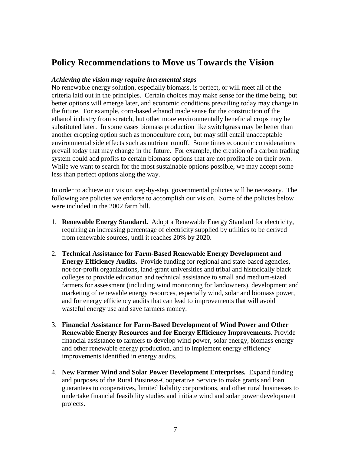# **Policy Recommendations to Move us Towards the Vision**

#### *Achieving the vision may require incremental steps*

No renewable energy solution, especially biomass, is perfect, or will meet all of the criteria laid out in the principles. Certain choices may make sense for the time being, but better options will emerge later, and economic conditions prevailing today may change in the future. For example, corn-based ethanol made sense for the construction of the ethanol industry from scratch, but other more environmentally beneficial crops may be substituted later. In some cases biomass production like switchgrass may be better than another cropping option such as monoculture corn, but may still entail unacceptable environmental side effects such as nutrient runoff. Some times economic considerations prevail today that may change in the future. For example, the creation of a carbon trading system could add profits to certain biomass options that are not profitable on their own. While we want to search for the most sustainable options possible, we may accept some less than perfect options along the way.

In order to achieve our vision step-by-step, governmental policies will be necessary. The following are policies we endorse to accomplish our vision. Some of the policies below were included in the 2002 farm bill.

- 1. **Renewable Energy Standard.** Adopt a Renewable Energy Standard for electricity, requiring an increasing percentage of electricity supplied by utilities to be derived from renewable sources, until it reaches 20% by 2020.
- 2. **Technical Assistance for Farm-Based Renewable Energy Development and Energy Efficiency Audits.** Provide funding for regional and state-based agencies, not-for-profit organizations, land-grant universities and tribal and historically black colleges to provide education and technical assistance to small and medium-sized farmers for assessment (including wind monitoring for landowners), development and marketing of renewable energy resources, especially wind, solar and biomass power, and for energy efficiency audits that can lead to improvements that will avoid wasteful energy use and save farmers money.
- 3. **Financial Assistance for Farm-Based Development of Wind Power and Other Renewable Energy Resources and for Energy Efficiency Improvements**. Provide financial assistance to farmers to develop wind power, solar energy, biomass energy and other renewable energy production, and to implement energy efficiency improvements identified in energy audits.
- 4. **New Farmer Wind and Solar Power Development Enterprises.** Expand funding and purposes of the Rural Business-Cooperative Service to make grants and loan guarantees to cooperatives, limited liability corporations, and other rural businesses to undertake financial feasibility studies and initiate wind and solar power development projects.